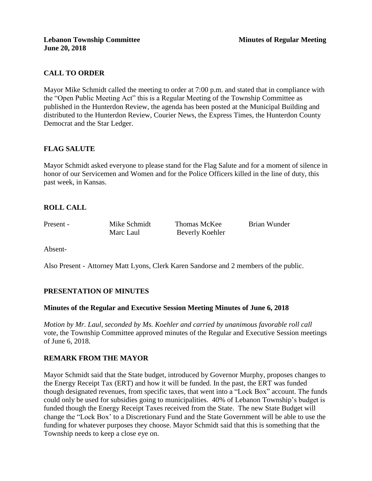# **CALL TO ORDER**

Mayor Mike Schmidt called the meeting to order at 7:00 p.m. and stated that in compliance with the "Open Public Meeting Act" this is a Regular Meeting of the Township Committee as published in the Hunterdon Review, the agenda has been posted at the Municipal Building and distributed to the Hunterdon Review, Courier News, the Express Times, the Hunterdon County Democrat and the Star Ledger.

# **FLAG SALUTE**

Mayor Schmidt asked everyone to please stand for the Flag Salute and for a moment of silence in honor of our Servicemen and Women and for the Police Officers killed in the line of duty, this past week, in Kansas.

# **ROLL CALL**

Present - Mike Schmidt Thomas McKee Brian Wunder Marc Laul Beverly Koehler

Absent-

Also Present - Attorney Matt Lyons, Clerk Karen Sandorse and 2 members of the public.

# **PRESENTATION OF MINUTES**

### **Minutes of the Regular and Executive Session Meeting Minutes of June 6, 2018**

*Motion by Mr. Laul, seconded by Ms. Koehler and carried by unanimous favorable roll call*  vote, the Township Committee approved minutes of the Regular and Executive Session meetings of June 6, 2018.

# **REMARK FROM THE MAYOR**

Mayor Schmidt said that the State budget, introduced by Governor Murphy, proposes changes to the Energy Receipt Tax (ERT) and how it will be funded. In the past, the ERT was funded though designated revenues, from specific taxes, that went into a "Lock Box" account. The funds could only be used for subsidies going to municipalities. 40% of Lebanon Township's budget is funded though the Energy Receipt Taxes received from the State. The new State Budget will change the "Lock Box' to a Discretionary Fund and the State Government will be able to use the funding for whatever purposes they choose. Mayor Schmidt said that this is something that the Township needs to keep a close eye on.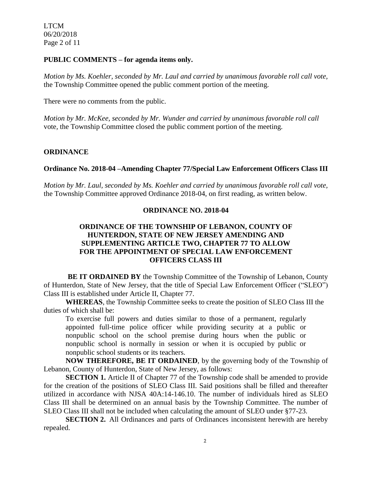LTCM 06/20/2018 Page 2 of 11

#### **PUBLIC COMMENTS – for agenda items only.**

*Motion by Ms. Koehler, seconded by Mr. Laul and carried by unanimous favorable roll call vote,*  the Township Committee opened the public comment portion of the meeting.

There were no comments from the public.

*Motion by Mr. McKee, seconded by Mr. Wunder and carried by unanimous favorable roll call*  vote*,* the Township Committee closed the public comment portion of the meeting.

#### **ORDINANCE**

#### **Ordinance No. 2018-04 –Amending Chapter 77/Special Law Enforcement Officers Class III**

*Motion by Mr. Laul, seconded by Ms. Koehler and carried by unanimous favorable roll call vote,*  the Township Committee approved Ordinance 2018-04, on first reading, as written below.

#### **ORDINANCE NO. 2018-04**

## **ORDINANCE OF THE TOWNSHIP OF LEBANON, COUNTY OF HUNTERDON, STATE OF NEW JERSEY AMENDING AND SUPPLEMENTING ARTICLE TWO, CHAPTER 77 TO ALLOW FOR THE APPOINTMENT OF SPECIAL LAW ENFORCEMENT OFFICERS CLASS III**

**BE IT ORDAINED BY** the Township Committee of the Township of Lebanon, County of Hunterdon, State of New Jersey, that the title of Special Law Enforcement Officer ("SLEO") Class III is established under Article II, Chapter 77.

**WHEREAS**, the Township Committee seeks to create the position of SLEO Class III the duties of which shall be:

To exercise full powers and duties similar to those of a permanent, regularly appointed full-time police officer while providing security at a public or nonpublic school on the school premise during hours when the public or nonpublic school is normally in session or when it is occupied by public or nonpublic school students or its teachers.

**NOW THEREFORE, BE IT ORDAINED**, by the governing body of the Township of Lebanon, County of Hunterdon, State of New Jersey, as follows:

**SECTION 1.** Article II of Chapter 77 of the Township code shall be amended to provide for the creation of the positions of SLEO Class III. Said positions shall be filled and thereafter utilized in accordance with NJSA 40A:14-146.10. The number of individuals hired as SLEO Class III shall be determined on an annual basis by the Township Committee. The number of SLEO Class III shall not be included when calculating the amount of SLEO under §77-23.

**SECTION 2.** All Ordinances and parts of Ordinances inconsistent herewith are hereby repealed.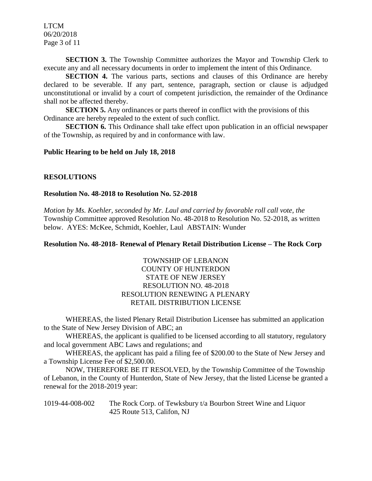LTCM 06/20/2018 Page 3 of 11

**SECTION 3.** The Township Committee authorizes the Mayor and Township Clerk to execute any and all necessary documents in order to implement the intent of this Ordinance.

**SECTION 4.** The various parts, sections and clauses of this Ordinance are hereby declared to be severable. If any part, sentence, paragraph, section or clause is adjudged unconstitutional or invalid by a court of competent jurisdiction, the remainder of the Ordinance shall not be affected thereby.

**SECTION 5.** Any ordinances or parts thereof in conflict with the provisions of this Ordinance are hereby repealed to the extent of such conflict.

**SECTION 6.** This Ordinance shall take effect upon publication in an official newspaper of the Township, as required by and in conformance with law.

#### **Public Hearing to be held on July 18, 2018**

#### **RESOLUTIONS**

#### **Resolution No. 48-2018 to Resolution No. 52-2018**

*Motion by Ms. Koehler, seconded by Mr. Laul and carried by favorable roll call vote, the* Township Committee approved Resolution No. 48-2018 to Resolution No. 52-2018, as written below. AYES: McKee, Schmidt, Koehler, Laul ABSTAIN: Wunder

#### **Resolution No. 48-2018- Renewal of Plenary Retail Distribution License – The Rock Corp**

## TOWNSHIP OF LEBANON COUNTY OF HUNTERDON STATE OF NEW JERSEY RESOLUTION NO. 48-2018 RESOLUTION RENEWING A PLENARY RETAIL DISTRIBUTION LICENSE

WHEREAS, the listed Plenary Retail Distribution Licensee has submitted an application to the State of New Jersey Division of ABC; an

WHEREAS, the applicant is qualified to be licensed according to all statutory, regulatory and local government ABC Laws and regulations; and

WHEREAS, the applicant has paid a filing fee of \$200.00 to the State of New Jersey and a Township License Fee of \$2,500.00.

NOW, THEREFORE BE IT RESOLVED, by the Township Committee of the Township of Lebanon, in the County of Hunterdon, State of New Jersey, that the listed License be granted a renewal for the 2018-2019 year:

1019-44-008-002 The Rock Corp. of Tewksbury t/a Bourbon Street Wine and Liquor 425 Route 513, Califon, NJ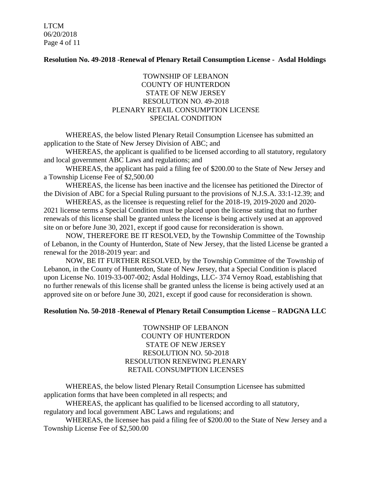LTCM 06/20/2018 Page 4 of 11

### **Resolution No. 49-2018 -Renewal of Plenary Retail Consumption License - Asdal Holdings**

## TOWNSHIP OF LEBANON COUNTY OF HUNTERDON STATE OF NEW JERSEY RESOLUTION NO. 49-2018 PLENARY RETAIL CONSUMPTION LICENSE SPECIAL CONDITION

WHEREAS, the below listed Plenary Retail Consumption Licensee has submitted an application to the State of New Jersey Division of ABC; and

WHEREAS, the applicant is qualified to be licensed according to all statutory, regulatory and local government ABC Laws and regulations; and

WHEREAS, the applicant has paid a filing fee of \$200.00 to the State of New Jersey and a Township License Fee of \$2,500.00

WHEREAS, the license has been inactive and the licensee has petitioned the Director of the Division of ABC for a Special Ruling pursuant to the provisions of N.J.S.A. 33:1-12.39; and

WHEREAS, as the licensee is requesting relief for the 2018-19, 2019-2020 and 2020- 2021 license terms a Special Condition must be placed upon the license stating that no further renewals of this license shall be granted unless the license is being actively used at an approved site on or before June 30, 2021, except if good cause for reconsideration is shown.

NOW, THEREFORE BE IT RESOLVED, by the Township Committee of the Township of Lebanon, in the County of Hunterdon, State of New Jersey, that the listed License be granted a renewal for the 2018-2019 year: and

NOW, BE IT FURTHER RESOLVED, by the Township Committee of the Township of Lebanon, in the County of Hunterdon, State of New Jersey, that a Special Condition is placed upon License No. 1019-33-007-002; Asdal Holdings, LLC- 374 Vernoy Road, establishing that no further renewals of this license shall be granted unless the license is being actively used at an approved site on or before June 30, 2021, except if good cause for reconsideration is shown.

### **Resolution No. 50-2018 -Renewal of Plenary Retail Consumption License – RADGNA LLC**

TOWNSHIP OF LEBANON COUNTY OF HUNTERDON STATE OF NEW JERSEY RESOLUTION NO. 50-2018 RESOLUTION RENEWING PLENARY RETAIL CONSUMPTION LICENSES

WHEREAS, the below listed Plenary Retail Consumption Licensee has submitted application forms that have been completed in all respects; and

WHEREAS, the applicant has qualified to be licensed according to all statutory, regulatory and local government ABC Laws and regulations; and

WHEREAS, the licensee has paid a filing fee of \$200.00 to the State of New Jersey and a Township License Fee of \$2,500.00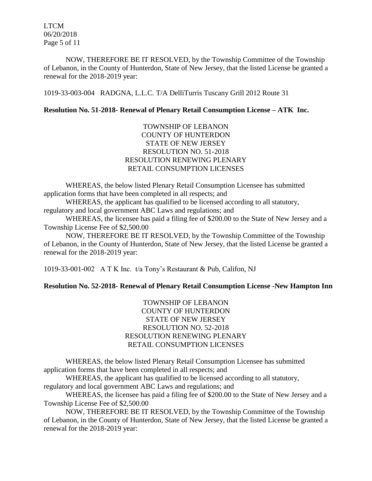LTCM 06/20/2018 Page 5 of 11

NOW, THEREFORE BE IT RESOLVED, by the Township Committee of the Township of Lebanon, in the County of Hunterdon, State of New Jersey, that the listed License be granted a renewal for the 2018-2019 year:

1019-33-003-004 RADGNA, L.L.C. T/A DelliTurris Tuscany Grill 2012 Route 31

## **Resolution No. 51-2018- Renewal of Plenary Retail Consumption License – ATK Inc.**

TOWNSHIP OF LEBANON COUNTY OF HUNTERDON STATE OF NEW JERSEY RESOLUTION NO. 51-2018 RESOLUTION RENEWING PLENARY RETAIL CONSUMPTION LICENSES

WHEREAS, the below listed Plenary Retail Consumption Licensee has submitted application forms that have been completed in all respects; and

WHEREAS, the applicant has qualified to be licensed according to all statutory, regulatory and local government ABC Laws and regulations; and

WHEREAS, the licensee has paid a filing fee of \$200.00 to the State of New Jersey and a Township License Fee of \$2,500.00

NOW, THEREFORE BE IT RESOLVED, by the Township Committee of the Township of Lebanon, in the County of Hunterdon, State of New Jersey, that the listed License be granted a renewal for the 2018-2019 year:

1019-33-001-002 A T K Inc. t/a Tony's Restaurant & Pub, Califon, NJ

### **Resolution No. 52-2018- Renewal of Plenary Retail Consumption License -New Hampton Inn**

TOWNSHIP OF LEBANON COUNTY OF HUNTERDON STATE OF NEW JERSEY RESOLUTION NO. 52-2018 RESOLUTION RENEWING PLENARY RETAIL CONSUMPTION LICENSES

WHEREAS, the below listed Plenary Retail Consumption Licensee has submitted application forms that have been completed in all respects; and

WHEREAS, the applicant has qualified to be licensed according to all statutory,

regulatory and local government ABC Laws and regulations; and

WHEREAS, the licensee has paid a filing fee of \$200.00 to the State of New Jersey and a Township License Fee of \$2,500.00

NOW, THEREFORE BE IT RESOLVED, by the Township Committee of the Township of Lebanon, in the County of Hunterdon, State of New Jersey, that the listed License be granted a renewal for the 2018-2019 year: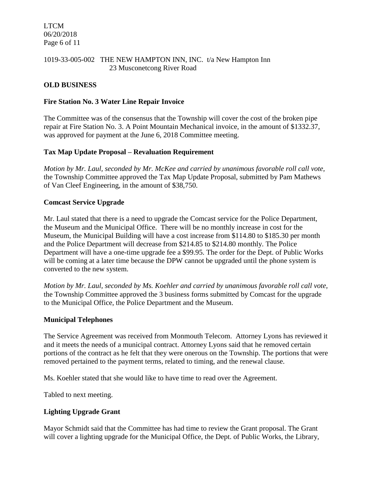LTCM 06/20/2018 Page 6 of 11

1019-33-005-002 THE NEW HAMPTON INN, INC. t/a New Hampton Inn 23 Musconetcong River Road

## **OLD BUSINESS**

### **Fire Station No. 3 Water Line Repair Invoice**

The Committee was of the consensus that the Township will cover the cost of the broken pipe repair at Fire Station No. 3. A Point Mountain Mechanical invoice, in the amount of \$1332.37, was approved for payment at the June 6, 2018 Committee meeting.

## **Tax Map Update Proposal – Revaluation Requirement**

*Motion by Mr. Laul, seconded by Mr. McKee and carried by unanimous favorable roll call vote,* the Township Committee approved the Tax Map Update Proposal, submitted by Pam Mathews of Van Cleef Engineering, in the amount of \$38,750.

### **Comcast Service Upgrade**

Mr. Laul stated that there is a need to upgrade the Comcast service for the Police Department, the Museum and the Municipal Office. There will be no monthly increase in cost for the Museum, the Municipal Building will have a cost increase from \$114.80 to \$185.30 per month and the Police Department will decrease from \$214.85 to \$214.80 monthly. The Police Department will have a one-time upgrade fee a \$99.95. The order for the Dept. of Public Works will be coming at a later time because the DPW cannot be upgraded until the phone system is converted to the new system.

*Motion by Mr. Laul, seconded by Ms. Koehler and carried by unanimous favorable roll call vote,* the Township Committee approved the 3 business forms submitted by Comcast for the upgrade to the Municipal Office, the Police Department and the Museum.

### **Municipal Telephones**

The Service Agreement was received from Monmouth Telecom. Attorney Lyons has reviewed it and it meets the needs of a municipal contract. Attorney Lyons said that he removed certain portions of the contract as he felt that they were onerous on the Township. The portions that were removed pertained to the payment terms, related to timing, and the renewal clause.

Ms. Koehler stated that she would like to have time to read over the Agreement.

Tabled to next meeting.

### **Lighting Upgrade Grant**

Mayor Schmidt said that the Committee has had time to review the Grant proposal. The Grant will cover a lighting upgrade for the Municipal Office, the Dept. of Public Works, the Library,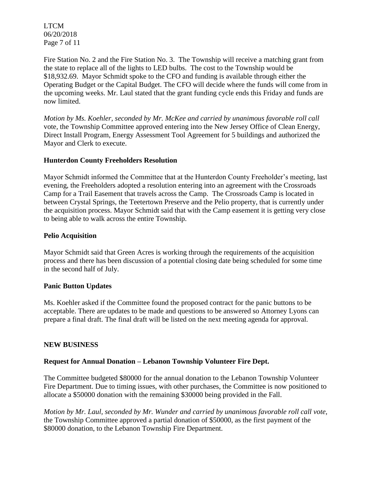LTCM 06/20/2018 Page 7 of 11

Fire Station No. 2 and the Fire Station No. 3. The Township will receive a matching grant from the state to replace all of the lights to LED bulbs. The cost to the Township would be \$18,932.69. Mayor Schmidt spoke to the CFO and funding is available through either the Operating Budget or the Capital Budget. The CFO will decide where the funds will come from in the upcoming weeks. Mr. Laul stated that the grant funding cycle ends this Friday and funds are now limited.

*Motion by Ms. Koehler, seconded by Mr. McKee and carried by unanimous favorable roll call*  vote*,* the Township Committee approved entering into the New Jersey Office of Clean Energy, Direct Install Program, Energy Assessment Tool Agreement for 5 buildings and authorized the Mayor and Clerk to execute.

## **Hunterdon County Freeholders Resolution**

Mayor Schmidt informed the Committee that at the Hunterdon County Freeholder's meeting, last evening, the Freeholders adopted a resolution entering into an agreement with the Crossroads Camp for a Trail Easement that travels across the Camp. The Crossroads Camp is located in between Crystal Springs, the Teetertown Preserve and the Pelio property, that is currently under the acquisition process. Mayor Schmidt said that with the Camp easement it is getting very close to being able to walk across the entire Township.

## **Pelio Acquisition**

Mayor Schmidt said that Green Acres is working through the requirements of the acquisition process and there has been discussion of a potential closing date being scheduled for some time in the second half of July.

### **Panic Button Updates**

Ms. Koehler asked if the Committee found the proposed contract for the panic buttons to be acceptable. There are updates to be made and questions to be answered so Attorney Lyons can prepare a final draft. The final draft will be listed on the next meeting agenda for approval.

### **NEW BUSINESS**

### **Request for Annual Donation – Lebanon Township Volunteer Fire Dept.**

The Committee budgeted \$80000 for the annual donation to the Lebanon Township Volunteer Fire Department. Due to timing issues, with other purchases, the Committee is now positioned to allocate a \$50000 donation with the remaining \$30000 being provided in the Fall.

*Motion by Mr. Laul, seconded by Mr. Wunder and carried by unanimous favorable roll call vote,* the Township Committee approved a partial donation of \$50000, as the first payment of the \$80000 donation, to the Lebanon Township Fire Department.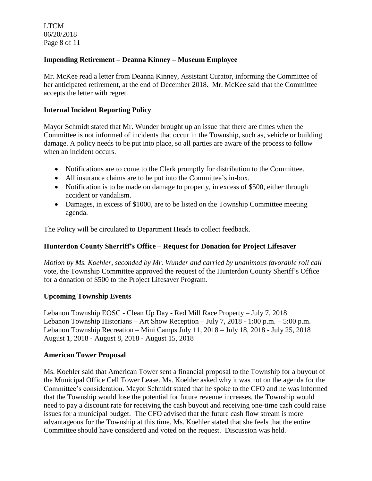## **Impending Retirement – Deanna Kinney – Museum Employee**

Mr. McKee read a letter from Deanna Kinney, Assistant Curator, informing the Committee of her anticipated retirement, at the end of December 2018. Mr. McKee said that the Committee accepts the letter with regret.

## **Internal Incident Reporting Policy**

Mayor Schmidt stated that Mr. Wunder brought up an issue that there are times when the Committee is not informed of incidents that occur in the Township, such as, vehicle or building damage. A policy needs to be put into place, so all parties are aware of the process to follow when an incident occurs.

- Notifications are to come to the Clerk promptly for distribution to the Committee.
- All insurance claims are to be put into the Committee's in-box.
- Notification is to be made on damage to property, in excess of \$500, either through accident or vandalism.
- Damages, in excess of \$1000, are to be listed on the Township Committee meeting agenda.

The Policy will be circulated to Department Heads to collect feedback.

### **Hunterdon County Sherriff's Office – Request for Donation for Project Lifesaver**

*Motion by Ms. Koehler, seconded by Mr. Wunder and carried by unanimous favorable roll call*  vote, the Township Committee approved the request of the Hunterdon County Sheriff's Office for a donation of \$500 to the Project Lifesaver Program.

### **Upcoming Township Events**

Lebanon Township EOSC - Clean Up Day - Red Mill Race Property – July 7, 2018 Lebanon Township Historians – Art Show Reception – July 7, 2018 - 1:00 p.m. – 5:00 p.m. Lebanon Township Recreation – Mini Camps July 11, 2018 – July 18, 2018 - July 25, 2018 August 1, 2018 - August 8, 2018 - August 15, 2018

### **American Tower Proposal**

Ms. Koehler said that American Tower sent a financial proposal to the Township for a buyout of the Municipal Office Cell Tower Lease. Ms. Koehler asked why it was not on the agenda for the Committee's consideration. Mayor Schmidt stated that he spoke to the CFO and he was informed that the Township would lose the potential for future revenue increases, the Township would need to pay a discount rate for receiving the cash buyout and receiving one-time cash could raise issues for a municipal budget. The CFO advised that the future cash flow stream is more advantageous for the Township at this time. Ms. Koehler stated that she feels that the entire Committee should have considered and voted on the request. Discussion was held.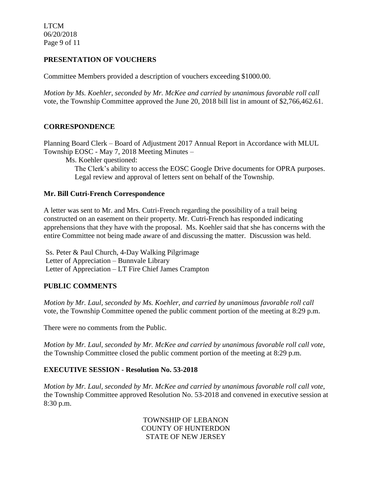LTCM 06/20/2018 Page 9 of 11

# **PRESENTATION OF VOUCHERS**

Committee Members provided a description of vouchers exceeding \$1000.00.

*Motion by Ms. Koehler, seconded by Mr. McKee and carried by unanimous favorable roll call*  vote, the Township Committee approved the June 20, 2018 bill list in amount of \$2,766,462.61.

# **CORRESPONDENCE**

Planning Board Clerk – Board of Adjustment 2017 Annual Report in Accordance with MLUL Township EOSC - May 7, 2018 Meeting Minutes –

Ms. Koehler questioned:

 The Clerk's ability to access the EOSC Google Drive documents for OPRA purposes. Legal review and approval of letters sent on behalf of the Township.

## **Mr. Bill Cutri-French Correspondence**

A letter was sent to Mr. and Mrs. Cutri-French regarding the possibility of a trail being constructed on an easement on their property. Mr. Cutri-French has responded indicating apprehensions that they have with the proposal. Ms. Koehler said that she has concerns with the entire Committee not being made aware of and discussing the matter. Discussion was held.

Ss. Peter & Paul Church, 4-Day Walking Pilgrimage Letter of Appreciation – Bunnvale Library Letter of Appreciation – LT Fire Chief James Crampton

# **PUBLIC COMMENTS**

*Motion by Mr. Laul, seconded by Ms. Koehler, and carried by unanimous favorable roll call*  vote, the Township Committee opened the public comment portion of the meeting at 8:29 p.m.

There were no comments from the Public.

*Motion by Mr. Laul, seconded by Mr. McKee and carried by unanimous favorable roll call vote,* the Township Committee closed the public comment portion of the meeting at 8:29 p.m.

# **EXECUTIVE SESSION - Resolution No. 53-2018**

*Motion by Mr. Laul, seconded by Mr. McKee and carried by unanimous favorable roll call vote,* the Township Committee approved Resolution No. 53-2018 and convened in executive session at 8:30 p.m.

> TOWNSHIP OF LEBANON COUNTY OF HUNTERDON STATE OF NEW JERSEY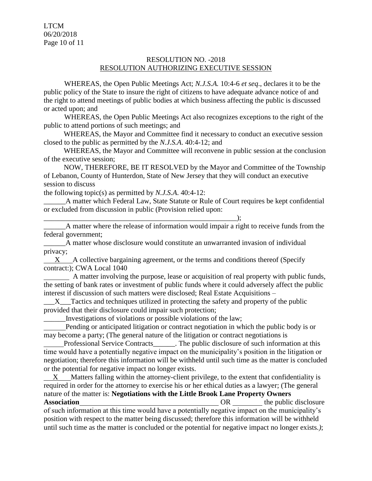LTCM 06/20/2018 Page 10 of 11

### RESOLUTION NO. -2018 RESOLUTION AUTHORIZING EXECUTIVE SESSION

WHEREAS, the Open Public Meetings Act; *N.J.S.A.* 10:4-6 *et seq*., declares it to be the public policy of the State to insure the right of citizens to have adequate advance notice of and the right to attend meetings of public bodies at which business affecting the public is discussed or acted upon; and

WHEREAS, the Open Public Meetings Act also recognizes exceptions to the right of the public to attend portions of such meetings; and

 WHEREAS, the Mayor and Committee find it necessary to conduct an executive session closed to the public as permitted by the *N.J.S.A*. 40:4-12; and

 WHEREAS, the Mayor and Committee will reconvene in public session at the conclusion of the executive session;

 NOW, THEREFORE, BE IT RESOLVED by the Mayor and Committee of the Township of Lebanon, County of Hunterdon, State of New Jersey that they will conduct an executive session to discuss

the following topic(s) as permitted by *N.J.S.A*. 40:4-12:

 $\qquad \qquad ; \qquad$ 

A matter which Federal Law, State Statute or Rule of Court requires be kept confidential or excluded from discussion in public (Provision relied upon:

\_\_\_\_\_\_A matter where the release of information would impair a right to receive funds from the federal government;

\_\_\_\_\_\_A matter whose disclosure would constitute an unwarranted invasion of individual privacy;

X A collective bargaining agreement, or the terms and conditions thereof (Specify contract:); CWA Local 1040

 A matter involving the purpose, lease or acquisition of real property with public funds, the setting of bank rates or investment of public funds where it could adversely affect the public interest if discussion of such matters were disclosed; Real Estate Acquisitions –

\_\_\_X\_\_\_Tactics and techniques utilized in protecting the safety and property of the public provided that their disclosure could impair such protection;

\_\_\_\_\_\_Investigations of violations or possible violations of the law;

 Pending or anticipated litigation or contract negotiation in which the public body is or may become a party; (The general nature of the litigation or contract negotiations is

Professional Service Contracts\_\_\_\_\_\_. The public disclosure of such information at this time would have a potentially negative impact on the municipality's position in the litigation or negotiation; therefore this information will be withheld until such time as the matter is concluded or the potential for negative impact no longer exists.

 $X$  Matters falling within the attorney-client privilege, to the extent that confidentiality is required in order for the attorney to exercise his or her ethical duties as a lawyer; (The general nature of the matter is: **Negotiations with the Little Brook Lane Property Owners Association** OR the public disclosure of such information at this time would have a potentially negative impact on the municipality's

position with respect to the matter being discussed; therefore this information will be withheld until such time as the matter is concluded or the potential for negative impact no longer exists.*)*;